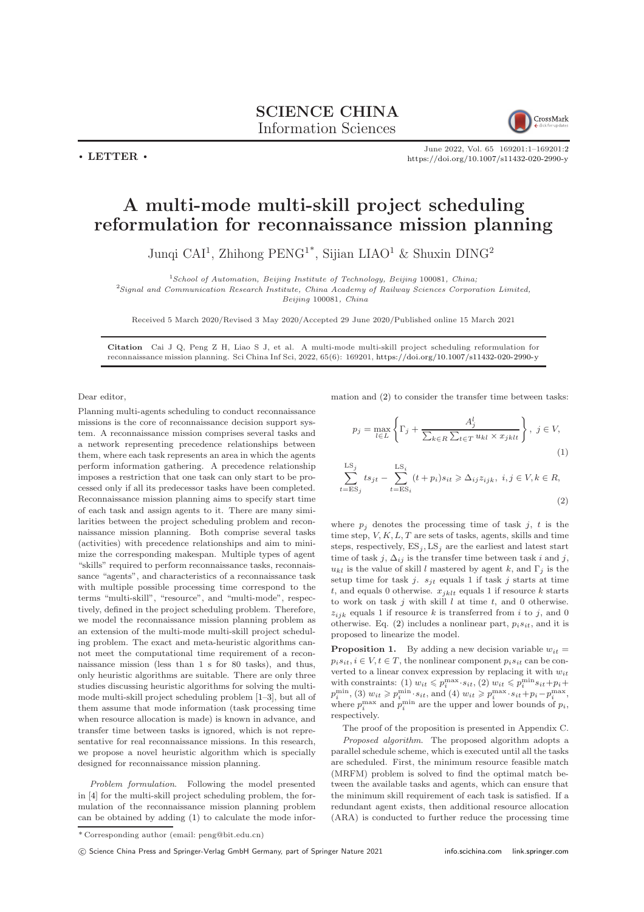SCIENCE CHINA Information Sciences

CrossMark

June 2022, Vol. 65 169201:1–169201[:2](#page-1-0) <https://doi.org/10.1007/s11432-020-2990-y>

## A multi-mode multi-skill project scheduling reformulation for reconnaissance mission planning

Junqi CAI<sup>1</sup>, Zhihong PENG<sup>1\*</sup>, Sijian LIAO<sup>1</sup> & Shuxin DING<sup>2</sup>

 $1$ School of Automation, Beijing Institute of Technology, Beijing 100081, China;

<sup>2</sup>Signal and Communication Research Institute, China Academy of Railway Sciences Corporation Limited,

Beijing 100081, China

Received 5 March 2020/Revised 3 May 2020/Accepted 29 June 2020/Published online 15 March 2021

Citation Cai J Q, Peng Z H, Liao S J, et al. A multi-mode multi-skill project scheduling reformulation for reconnaissance mission planning. Sci China Inf Sci, 2022, 65(6): 169201, <https://doi.org/10.1007/s11432-020-2990-y>

Dear editor,

 $\cdot$  LETTER  $\cdot$ 

Planning multi-agents scheduling to conduct reconnaissance missions is the core of reconnaissance decision support system. A reconnaissance mission comprises several tasks and a network representing precedence relationships between them, where each task represents an area in which the agents perform information gathering. A precedence relationship imposes a restriction that one task can only start to be processed only if all its predecessor tasks have been completed. Reconnaissance mission planning aims to specify start time of each task and assign agents to it. There are many similarities between the project scheduling problem and reconnaissance mission planning. Both comprise several tasks (activities) with precedence relationships and aim to minimize the corresponding makespan. Multiple types of agent "skills" required to perform reconnaissance tasks, reconnaissance "agents", and characteristics of a reconnaissance task with multiple possible processing time correspond to the terms "multi-skill", "resource", and "multi-mode", respectively, defined in the project scheduling problem. Therefore, we model the reconnaissance mission planning problem as an extension of the multi-mode multi-skill project scheduling problem. The exact and meta-heuristic algorithms cannot meet the computational time requirement of a reconnaissance mission (less than 1 s for 80 tasks), and thus, only heuristic algorithms are suitable. There are only three studies discussing heuristic algorithms for solving the multimode multi-skill project scheduling problem [\[1–](#page-1-1)[3\]](#page-1-2), but all of them assume that mode information (task processing time when resource allocation is made) is known in advance, and transfer time between tasks is ignored, which is not representative for real reconnaissance missions. In this research, we propose a novel heuristic algorithm which is specially designed for reconnaissance mission planning.

Problem formulation. Following the model presented in [\[4\]](#page-1-3) for the multi-skill project scheduling problem, the formulation of the reconnaissance mission planning problem can be obtained by adding [\(1\)](#page-0-0) to calculate the mode information and [\(2\)](#page-0-1) to consider the transfer time between tasks:

<span id="page-0-0"></span>
$$
p_j = \max_{l \in L} \left\{ \Gamma_j + \frac{A_j^l}{\sum_{k \in R} \sum_{t \in T} u_{kl} \times x_{jklt}} \right\}, \ j \in V,
$$
\n(1)

<span id="page-0-1"></span>
$$
\sum_{t=\text{ES}_j}^{\text{LS}_j} ts_{jt} - \sum_{t=\text{ES}_i}^{\text{LS}_i} (t + p_i)s_{it} \ge \Delta_{ij} z_{ijk}, \ i, j \in V, k \in R,
$$
\n(2)

where  $p_i$  denotes the processing time of task j, t is the time step,  $V, K, L, T$  are sets of tasks, agents, skills and time steps, respectively,  $ES<sub>j</sub>$ ,  $LS<sub>j</sub>$  are the earliest and latest start time of task j,  $\Delta_{ij}$  is the transfer time between task i and j,  $u_{kl}$  is the value of skill l mastered by agent k, and  $\Gamma_i$  is the setup time for task j.  $s_{it}$  equals 1 if task j starts at time t, and equals 0 otherwise.  $x_{jklt}$  equals 1 if resource k starts to work on task  $j$  with skill  $l$  at time  $t$ , and 0 otherwise.  $z_{ijk}$  equals 1 if resource k is transferred from i to j, and 0 otherwise. Eq. [\(2\)](#page-0-1) includes a nonlinear part,  $p_i s_{it}$ , and it is proposed to linearize the model.

**Proposition 1.** By adding a new decision variable  $w_{it}$  =  $p_i s_{it}, i \in V, t \in T$ , the nonlinear component  $p_i s_{it}$  can be converted to a linear convex expression by replacing it with  $w_{it}$ with constraints: (1)  $w_{it} \leqslant p_i^{\max} \cdot s_{it},$  (2)  $w_{it} \leqslant p_i^{\min} s_{it} + p_i +$  $p_i^{\min}$ , (3)  $w_{it} \geqslant p_i^{\min} \cdot s_{it}$ , and (4)  $w_{it} \geqslant p_i^{\max} \cdot s_{it} + p_i - p_i^{\max}$ , where  $p_i^{\max}$  and  $p_i^{\min}$  are the upper and lower bounds of  $p_i$ , respectively.

The proof of the proposition is presented in Appendix C. Proposed algorithm. The proposed algorithm adopts a parallel schedule scheme, which is executed until all the tasks are scheduled. First, the minimum resource feasible match (MRFM) problem is solved to find the optimal match between the available tasks and agents, which can ensure that the minimum skill requirement of each task is satisfied. If a redundant agent exists, then additional resource allocation (ARA) is conducted to further reduce the processing time

<sup>\*</sup> Corresponding author (email: peng@bit.edu.cn)

c Science China Press and Springer-Verlag GmbH Germany, part of Springer Nature 2021 <info.scichina.com><link.springer.com>